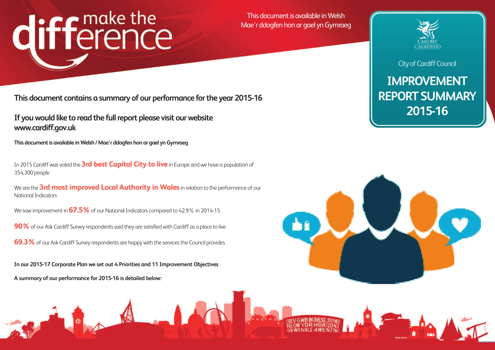# difference

This document is available in Welsh Mae'r ddogfen hon ar gael yn Gymraeg

## **IMPROVEMENT REPORT SUMMARY 2015-16**





**This document contains a summary of our performance forthe year 2015-16**

**If youwould like to read the fullreport please visit ourwebsite www.cardiff.gov.uk**

**This** document is available in Welsh / Mae'r ddogfen hon ar gael yn Gymraeg

We are the**3rd most improved Local Authority in Wales** in relation to the performance of our National Indicators

We saw improvement in **67.5%** of our National Indicators compared to 42.9% in 2014-15

**90%** of our Ask Cardiff Survey respondents said they are satisfied with Cardiff as a place to live

**69.3%** of our Ask Cardiff Survey respondents are happy with the services the Council provides

In 2015 Cardiff was voted the**3rd best Capital City to live**in Europe and we have a population of 354,300 people

**In our 2015-17 Corporate Plan we set out 4 Priorities and 11 Improvement Objectives**

**A summary of our performance for 2015-16 is detailed below:**





### **City of Cardiff Council**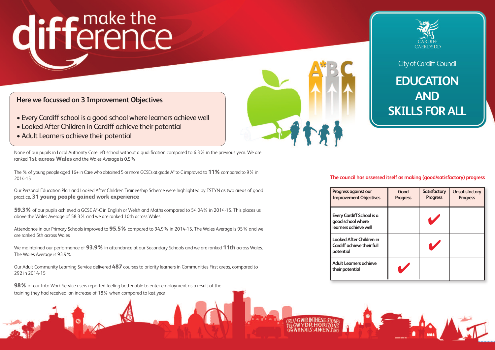**Progress against our Improvement Objecti** 

## **EDUCATION AND SKILLS FORALL**

**EveryCardiff School is a good schoolwhere learners** achieve well

**Looked After Children Cardiff achieve their f potential**

**Adult** Learners achiev **their potential**



**City of Cardiff Council** 

- Every Cardiff school is a good school where learners achieve well
- Looked After Children in Cardiff achieve their potential
- Adult Learners achieve their potential

| ves        | Good<br><b>Progress</b> | <b>Satisfactory</b><br><b>Progress</b> | <b>Unsatisfactory</b><br><b>Progress</b> |
|------------|-------------------------|----------------------------------------|------------------------------------------|
| s a        |                         |                                        |                                          |
| ıin<br>ull |                         |                                        |                                          |
| e          |                         |                                        |                                          |



#### **The council has assessed itself as making (good/satisfactory) progress**

## difference

### **Here we focussed on 3 Improvement Objectives**

None of our pupils in Local Authority Care left school without a qualification compared to 6.3% in the previous year. We are ranked **1st across Wales** and the Wales Average is 0.5%

The % of young people aged 16+ in Care who obtained 5 or more GCSEs at grade A\* to C improved to **11%**compared to 9% in 2014-15

Our Personal Education Plan and Looked After Children Traineeship Scheme were highlighted by ESTYN as two areas of good practice. **31 young people gained work experience**

**59.3%** of our pupils achieved a GCSE A\*-C in English or Welsh and Maths compared to 54.04% in 2014-15. This places us above the Wales Average of 58.3% and we are ranked 10th across Wales

Attendance in our Primary Schools improved to **95.5%** compared to 94.9% in 2014-15. The Wales Average is 95% and we are ranked 5th across Wales

We maintained our performance of **93.9%** in attendance at our Secondary Schools and we are ranked **11th** across Wales. The Wales Average is 93.9%

Our Adult Community Learning Service delivered **487** courses to priority learners in Communities First areas, compared to 292 in 2014-15

**98%** of our Into Work Service users reported feeling better able to enter employment as a result of the training they had received, an increase of 18% when compared to last year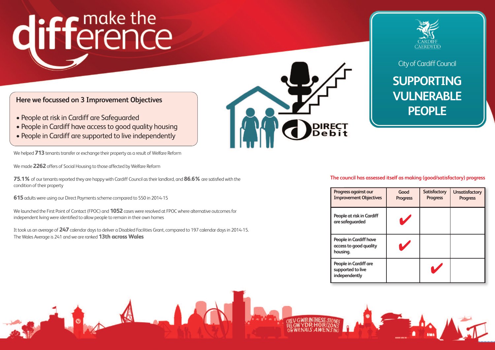## **SUPPORTING VULNERABLE PEOPLE**

## difference

#### **Here we focussed on 3 Improvement Objectives**

- People at risk in Cardiff are Safeguarded
- People in Cardiff have access to good quality housing
- People in Cardiff are supported to live independently

We helped **713** tenants transfer or exchange their property as a result of Welfare Reform

We made **2262** offers of Social Housing to those affected by Welfare Reform

**75.1%** of our tenants reported they are happy with Cardiff Council as their landlord, and **86.6%** are satisfied with the condition of their property

It took us an average of 247 calendar days to deliver a Disabled Facilities Grant, compared to 197 calendar days in 2014-15. The Wales Average is 241 and we are ranked **13th across Wales**

**Progress against our Improvement Object** 



**People** at risk in Cardi **are safeguarded**

**People** in Cardiff have **access to good quality housing.**

**615**adults were using our Direct Paymentsscheme compared to 550 in 2014-15

**People** in Cardiff are **supported to live independently**





**City of Cardiff Council** 

We launched the First Point of Contact (FPOC) and **1052**cases were resolved at FPOC where alternative outcomesfor independent living were identified to allow people to remain in their own homes

| ives    | Good<br><b>Progress</b> | <b>Satisfactory</b><br><b>Progress</b> | <b>Unsatisfactory</b><br><b>Progress</b> |
|---------|-------------------------|----------------------------------------|------------------------------------------|
| iff     |                         |                                        |                                          |
| e<br>:y |                         |                                        |                                          |
|         |                         |                                        |                                          |

#### **The council has assessed itself as making (good/satisfactory) progress**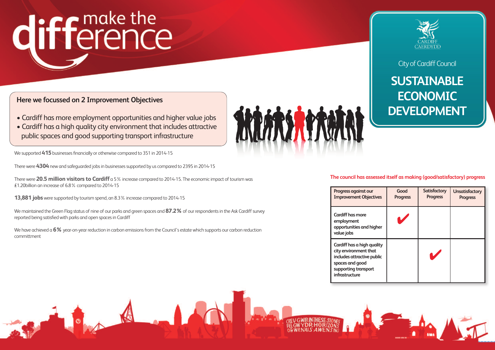## **SUSTAINABLE ECONOMIC DEVELOPMENT**

## difference

### **Here we focussed on 2 Improvement Objectives**

- Cardiff has more employment opportunities and higher value jobs
- Cardiff has a high quality city environment that includes attractive public spaces and good supporting transport infrastructure

We supported **415** businesses financially or otherwise compared to 351 in 2014-15

There were 4304 new and safeguarded jobs in businesses supported by us compared to 2395 in 2014-15

We maintained the Green Flag status of nine of our parks and green spaces and 87.2% of our respondents in the Ask Cardiff survey reported being satisfied with parks and open spacesin Cardiff

We have achieved a **6%** year-on-year reduction in carbon emissions from the Council's estate which supports our carbon reduction committment

**Progress against our Improvement Object** 



There were **20.5 million visitors to Cardiff** a 5% increase compared to 2014-15. The economic impact oftourism was £1.20billion an increase of 6.8% compared to 2014-15

> **Cardiff** has a high que **city** environment that **includes** attractive pu **spaces and good supporting transport infrastructure**



**City of Cardiff Council** 

**13,881 jobs**were supported by tourism spend, an 8.3% increase compared to 2014-15

**Cardiff has more employment opportunities and higher value jobs**

| ives                 | Good<br><b>Progress</b> | Satisfactory<br><b>Progress</b> | <b>Unsatisfactory</b><br><b>Progress</b> |
|----------------------|-------------------------|---------------------------------|------------------------------------------|
| gher                 |                         |                                 |                                          |
| ality<br>ιt<br>ablic |                         | V                               |                                          |



#### **The council has assessed itself as making (good/satisfactory) progress**